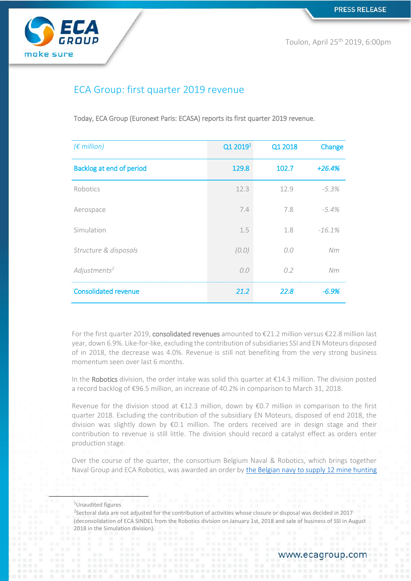

Toulon, April 25th 2019, 6:00pm

# ECA Group: first quarter 2019 revenue

Today, ECA Group (Euronext Paris: ECASA) reports its first quarter 2019 revenue.

| $(\epsilon$ million)        | Q1 2019 <sup>1</sup> | Q1 2018 | Change   |
|-----------------------------|----------------------|---------|----------|
| Backlog at end of period    | 129.8                | 102.7   | $+26.4%$ |
| Robotics                    | 12.3                 | 12.9    | $-5.3%$  |
| Aerospace                   | 7.4                  | 7.8     | $-5.4%$  |
| Simulation                  | 1.5                  | 1.8     | $-16.1%$ |
| Structure & disposals       | (0.0)                | O.O     | Nm       |
| Adjustments <sup>2</sup>    | 0.0                  | 0.2     | Nm       |
| <b>Consolidated revenue</b> | 21.2                 | 22.8    | $-6.9%$  |

For the first quarter 2019, consolidated revenues amounted to €21.2 million versus €22.8 million last year, down 6.9%. Like-for-like, excluding the contribution of subsidiaries SSI and EN Moteurs disposed of in 2018, the decrease was 4.0%. Revenue is still not benefiting from the very strong business momentum seen over last 6 months.

In the Robotics division, the order intake was solid this quarter at  $\epsilon$ 14.3 million. The division posted a record backlog of €96.5 million, an increase of 40.2% in comparison to March 31, 2018.

Revenue for the division stood at €12.3 million, down by €0.7 million in comparison to the first quarter 2018. Excluding the contribution of the subsidiary EN Moteurs, disposed of end 2018, the division was slightly down by €0.1 million. The orders received are in design stage and their contribution to revenue is still little. The division should record a catalyst effect as orders enter production stage.

Over the course of the quarter, the consortium Belgium Naval & Robotics, which brings together Naval Group and ECA Robotics, was awarded an order by [the Belgian navy to supply 12 mine hunting](https://www.ecagroup.com/en/financial/eca-group-wins-an-emblematic-around-450-million-contract-in-robotics) 

 $\overline{\phantom{a}}$ 

<sup>1</sup>Unaudited figures

<sup>2</sup> Sectoral data are not adjusted for the contribution of activities whose closure or disposal was decided in 2017 (deconsolidation of ECA SINDEL from the Robotics division on January 1st, 2018 and sale of business of SSI in August 2018 in the Simulation division).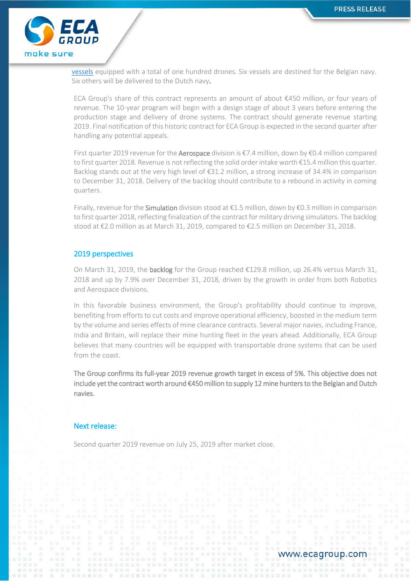

[vessels](https://www.ecagroup.com/en/financial/eca-group-wins-an-emblematic-around-450-million-contract-in-robotics) equipped with a total of one hundred drones. Six vessels are destined for the Belgian navy. Six others will be delivered to the Dutch navy.

ECA Group's share of this contract represents an amount of about €450 million, or four years of revenue. The 10-year program will begin with a design stage of about 3 years before entering the production stage and delivery of drone systems. The contract should generate revenue starting 2019. Final notification of this historic contract for ECA Group is expected in the second quarter after handling any potential appeals.

First quarter 2019 revenue for the Aerospace division is €7.4 million, down by €0.4 million compared to first quarter 2018. Revenue is not reflecting the solid order intake worth €15.4 million this quarter. Backlog stands out at the very high level of €31.2 million, a strong increase of 34.4% in comparison to December 31, 2018. Delivery of the backlog should contribute to a rebound in activity in coming quarters.

Finally, revenue for the **Simulation** division stood at €1.5 million, down by €0.3 million in comparison to first quarter 2018, reflecting finalization of the contract for military driving simulators. The backlog stood at €2.0 million as at March 31, 2019, compared to €2.5 million on December 31, 2018.

### 2019 perspectives

On March 31, 2019, the **backlog** for the Group reached  $£129.8$  million, up 26.4% versus March 31, 2018 and up by 7.9% over December 31, 2018, driven by the growth in order from both Robotics and Aerospace divisions.

In this favorable business environment, the Group's profitability should continue to improve, benefiting from efforts to cut costs and improve operational efficiency, boosted in the medium term by the volume and series effects of mine clearance contracts. Several major navies, including France, India and Britain, will replace their mine hunting fleet in the years ahead. Additionally, ECA Group believes that many countries will be equipped with transportable drone systems that can be used from the coast.

The Group confirms its full-year 2019 revenue growth target in excess of 5%. This objective does not include yet the contract worth around €450 million to supply 12 mine hunters to the Belgian and Dutch navies.

### Next release:

Second quarter 2019 revenue on July 25, 2019 after market close.